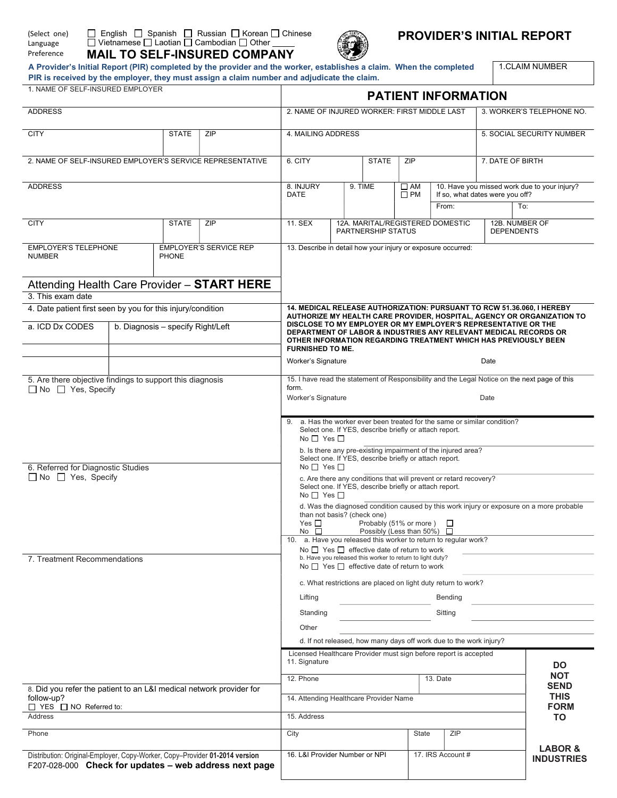| (Select one) |  |  |  |  |  |  |  |  |
|--------------|--|--|--|--|--|--|--|--|
| Language     |  |  |  |  |  |  |  |  |
| Preference   |  |  |  |  |  |  |  |  |



# PROVIDER'S INITIAL REPORT

A Provider's Initial Report (PIR) completed by the provider and the worker, establishes a claim. When the completed PIR is received by the employer, they must assign a claim number and adjudicate the claim.

1.CLAIM NUMBER

| 1. NAME OF SELF-INSURED EMPLOYER                                                                                                      |                                   |              |                                              | <b>PATIENT INFORMATION</b>                                                                                                                                                                                                                                                                                 |                              |                                                        |                                              |                                                               |                                                                        |                                         |  |  |
|---------------------------------------------------------------------------------------------------------------------------------------|-----------------------------------|--------------|----------------------------------------------|------------------------------------------------------------------------------------------------------------------------------------------------------------------------------------------------------------------------------------------------------------------------------------------------------------|------------------------------|--------------------------------------------------------|----------------------------------------------|---------------------------------------------------------------|------------------------------------------------------------------------|-----------------------------------------|--|--|
| <b>ADDRESS</b>                                                                                                                        |                                   |              | 2. NAME OF INJURED WORKER: FIRST MIDDLE LAST | 3. WORKER'S TELEPHONE NO.                                                                                                                                                                                                                                                                                  |                              |                                                        |                                              |                                                               |                                                                        |                                         |  |  |
| <b>CITY</b>                                                                                                                           |                                   | <b>STATE</b> | ZIP                                          | 4. MAILING ADDRESS                                                                                                                                                                                                                                                                                         |                              |                                                        |                                              |                                                               | 5. SOCIAL SECURITY NUMBER                                              |                                         |  |  |
| 2. NAME OF SELF-INSURED EMPLOYER'S SERVICE REPRESENTATIVE                                                                             |                                   |              | 6. CITY<br><b>STATE</b>                      |                                                                                                                                                                                                                                                                                                            |                              | ZIP                                                    |                                              |                                                               | 7. DATE OF BIRTH                                                       |                                         |  |  |
| <b>ADDRESS</b>                                                                                                                        |                                   |              | 8. INJURY<br><b>DATE</b>                     | 9. TIME                                                                                                                                                                                                                                                                                                    | $\square$ AM<br>$\square$ PM | If so, what dates were you off?                        | 10. Have you missed work due to your injury? |                                                               |                                                                        |                                         |  |  |
|                                                                                                                                       |                                   |              |                                              |                                                                                                                                                                                                                                                                                                            |                              |                                                        |                                              | From:                                                         |                                                                        | To:                                     |  |  |
| <b>CITY</b>                                                                                                                           |                                   | <b>STATE</b> | ZIP                                          | 11. SEX                                                                                                                                                                                                                                                                                                    |                              | PARTNERSHIP STATUS                                     |                                              | 12A. MARITAL/REGISTERED DOMESTIC                              | 12B. NUMBER OF<br><b>DEPENDENTS</b>                                    |                                         |  |  |
| <b>EMPLOYER'S TELEPHONE</b><br><b>NUMBER</b>                                                                                          |                                   | PHONE        | <b>EMPLOYER'S SERVICE REP</b>                | 13. Describe in detail how your injury or exposure occurred:                                                                                                                                                                                                                                               |                              |                                                        |                                              |                                                               |                                                                        |                                         |  |  |
| Attending Health Care Provider - START HERE<br>3. This exam date                                                                      |                                   |              |                                              |                                                                                                                                                                                                                                                                                                            |                              |                                                        |                                              |                                                               |                                                                        |                                         |  |  |
| 4. Date patient first seen by you for this injury/condition                                                                           |                                   |              |                                              |                                                                                                                                                                                                                                                                                                            |                              |                                                        |                                              |                                                               | 14. MEDICAL RELEASE AUTHORIZATION: PURSUANT TO RCW 51.36.060, I HEREBY |                                         |  |  |
| a. ICD Dx CODES                                                                                                                       | b. Diagnosis - specify Right/Left |              |                                              | AUTHORIZE MY HEALTH CARE PROVIDER, HOSPITAL, AGENCY OR ORGANIZATION TO<br>DISCLOSE TO MY EMPLOYER OR MY EMPLOYER'S REPRESENTATIVE OR THE<br>DEPARTMENT OF LABOR & INDUSTRIES ANY RELEVANT MEDICAL RECORDS OR<br>OTHER INFORMATION REGARDING TREATMENT WHICH HAS PREVIOUSLY BEEN<br><b>FURNISHED TO ME.</b> |                              |                                                        |                                              |                                                               |                                                                        |                                         |  |  |
|                                                                                                                                       |                                   |              |                                              | Worker's Signature                                                                                                                                                                                                                                                                                         |                              |                                                        |                                              |                                                               | Date                                                                   |                                         |  |  |
| 5. Are there objective findings to support this diagnosis                                                                             |                                   |              |                                              | 15. I have read the statement of Responsibility and the Legal Notice on the next page of this                                                                                                                                                                                                              |                              |                                                        |                                              |                                                               |                                                                        |                                         |  |  |
| $\Box$ No $\Box$ Yes, Specify                                                                                                         |                                   |              |                                              | form.<br>Worker's Signature                                                                                                                                                                                                                                                                                |                              |                                                        |                                              |                                                               | Date                                                                   |                                         |  |  |
|                                                                                                                                       |                                   |              |                                              | 9. a. Has the worker ever been treated for the same or similar condition?<br>Select one. If YES, describe briefly or attach report.<br>No $\Box$ Yes $\Box$                                                                                                                                                |                              |                                                        |                                              |                                                               |                                                                        |                                         |  |  |
| 6. Referred for Diagnostic Studies                                                                                                    |                                   |              |                                              | No $\Box$ Yes $\Box$                                                                                                                                                                                                                                                                                       |                              | Select one. If YES, describe briefly or attach report. |                                              | b. Is there any pre-existing impairment of the injured area?  |                                                                        |                                         |  |  |
| $\Box$ No $\Box$ Yes, Specify                                                                                                         |                                   |              |                                              | c. Are there any conditions that will prevent or retard recovery?<br>Select one. If YES, describe briefly or attach report.<br>No $\Box$ Yes $\Box$                                                                                                                                                        |                              |                                                        |                                              |                                                               |                                                                        |                                         |  |  |
|                                                                                                                                       |                                   |              |                                              | d. Was the diagnosed condition caused by this work injury or exposure on a more probable<br>than not basis? (check one)<br>Yes $\square$<br>Probably (51% or more)<br>ப<br>Possibly (Less than 50%) □<br>No $\square$                                                                                      |                              |                                                        |                                              |                                                               |                                                                        |                                         |  |  |
|                                                                                                                                       |                                   |              |                                              | 10. a. Have you released this worker to return to regular work?                                                                                                                                                                                                                                            |                              |                                                        |                                              |                                                               |                                                                        |                                         |  |  |
| 7. Treatment Recommendations                                                                                                          |                                   |              |                                              | No $\Box$ Yes $\Box$ effective date of return to work<br>b. Have you released this worker to return to light duty?<br>No $\Box$ Yes $\Box$ effective date of return to work                                                                                                                                |                              |                                                        |                                              |                                                               |                                                                        |                                         |  |  |
|                                                                                                                                       |                                   |              |                                              |                                                                                                                                                                                                                                                                                                            |                              |                                                        |                                              | c. What restrictions are placed on light duty return to work? |                                                                        |                                         |  |  |
|                                                                                                                                       |                                   |              | Bending<br>Lifting                           |                                                                                                                                                                                                                                                                                                            |                              |                                                        |                                              |                                                               |                                                                        |                                         |  |  |
|                                                                                                                                       |                                   |              | Standing<br>Sitting                          |                                                                                                                                                                                                                                                                                                            |                              |                                                        |                                              |                                                               |                                                                        |                                         |  |  |
|                                                                                                                                       |                                   |              |                                              | Other                                                                                                                                                                                                                                                                                                      |                              |                                                        |                                              |                                                               |                                                                        |                                         |  |  |
|                                                                                                                                       |                                   |              |                                              | d. If not released, how many days off work due to the work injury?<br>Licensed Healthcare Provider must sign before report is accepted<br>11. Signature<br><b>DO</b>                                                                                                                                       |                              |                                                        |                                              |                                                               |                                                                        |                                         |  |  |
|                                                                                                                                       |                                   |              |                                              |                                                                                                                                                                                                                                                                                                            |                              |                                                        |                                              |                                                               |                                                                        |                                         |  |  |
|                                                                                                                                       |                                   |              |                                              | 12. Phone                                                                                                                                                                                                                                                                                                  |                              |                                                        |                                              | 13. Date                                                      |                                                                        | <b>NOT</b><br><b>SEND</b>               |  |  |
| 8. Did you refer the patient to an L&I medical network provider for<br>follow-up?                                                     |                                   |              |                                              | <b>THIS</b><br>14. Attending Healthcare Provider Name                                                                                                                                                                                                                                                      |                              |                                                        |                                              |                                                               |                                                                        |                                         |  |  |
| $\Box$ YES $\Box$ NO Referred to:<br><b>Address</b>                                                                                   |                                   |              |                                              | <b>FORM</b><br>15. Address<br>ΤO                                                                                                                                                                                                                                                                           |                              |                                                        |                                              |                                                               |                                                                        |                                         |  |  |
| Phone                                                                                                                                 |                                   |              |                                              | City                                                                                                                                                                                                                                                                                                       |                              |                                                        | State                                        | ZIP                                                           |                                                                        |                                         |  |  |
| Distribution: Original-Employer, Copy-Worker, Copy-Provider 01-2014 version<br>F207-028-000 Check for updates - web address next page |                                   |              |                                              | 16. L&I Provider Number or NPI                                                                                                                                                                                                                                                                             |                              |                                                        |                                              | 17. IRS Account #                                             |                                                                        | <b>LABOR &amp;</b><br><b>INDUSTRIES</b> |  |  |